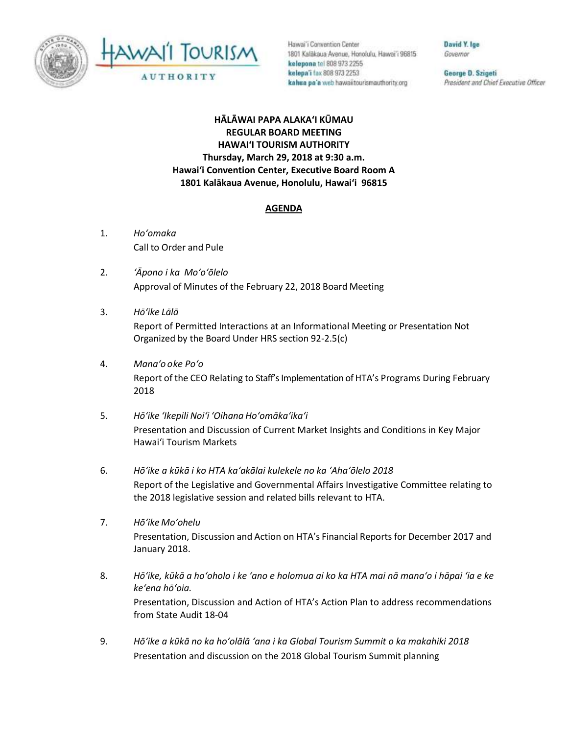



Hawai'i Convention Center 1801 Kalākaua Avenue, Honolulu, Hawai'i 96815 kelepona tel 808 973 2255 kelepa'i fax 808 973 2253 kahua pa'a web hawaiitourismauthority.org

David Y. Ige Governor

George D. Szigeti President and Chief Executive Officer

**HĀLĀWAI PAPA ALAKAʻI KŪMAU REGULAR BOARD MEETING HAWAI'I TOURISM AUTHORITY Thursday, March 29, 2018 at 9:30 a.m. Hawai'i Convention Center, Executive Board Room A 1801 Kalākaua Avenue, Honolulu, Hawai'i 96815**

## **AGENDA**

- 1. *Ho'omaka* Call to Order and Pule
- 2. *ʻĀpono i ka Mo'o'ōlelo* Approval of Minutes of the February 22, 2018 Board Meeting
- 3. *Hō'ike Lālā*

Report of Permitted Interactions at an Informational Meeting or Presentation Not Organized by the Board Under HRS section 92-2.5(c)

- 4. *Mana'o o ke Poʻo* Report of the CEO Relating to Staff's Implementation of HTA's Programs During February 2018
- 5. *Hō'ike 'Ikepili Noi'i 'Oihana Ho'omāka'ika'i* Presentation and Discussion of Current Market Insights and Conditions in Key Major Hawai'i Tourism Markets
- 6. *Hō'ike a kūkā i ko HTA ka'akālai kulekele no ka 'Aha'ōlelo 2018* Report of the Legislative and Governmental Affairs Investigative Committee relating to the 2018 legislative session and related bills relevant to HTA.
- 7. *Hō'ike Mo'ohelu* Presentation, Discussion and Action on HTA's Financial Reports for December 2017 and January 2018.
- 8. *Hō'ike, kūkā a ho'oholo i ke 'ano e holomua ai ko ka HTA mai nā mana'o i hāpai 'ia e ke ke'ena hō'oia.* Presentation, Discussion and Action of HTA's Action Plan to address recommendations from State Audit 18-04
- 9. *Hō'ike a kūkā no ka ho'olālā 'ana i ka Global Tourism Summit o ka makahiki 2018* Presentation and discussion on the 2018 Global Tourism Summit planning